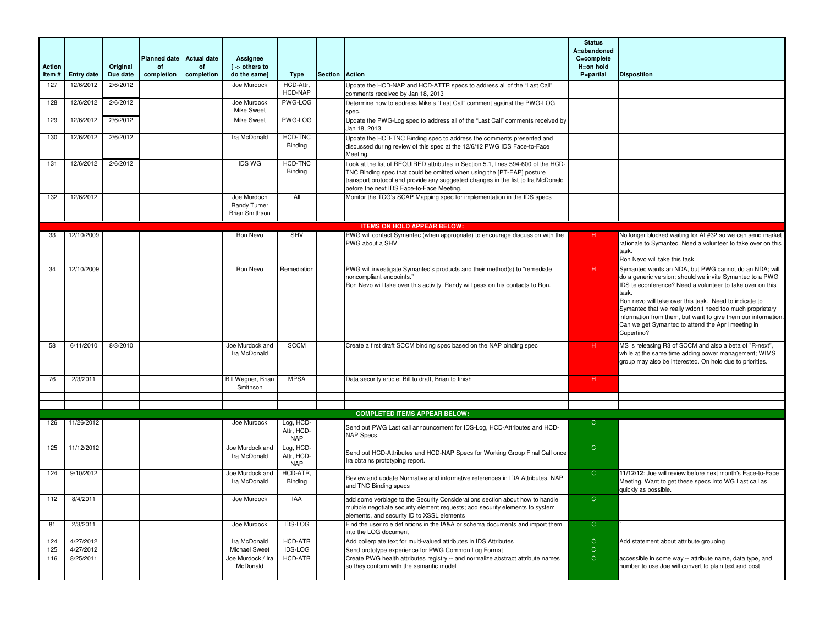| <b>Action</b> |                        | Original | <b>Planned date</b><br>of | <b>Actual date</b><br>of | Assignee<br>[ -> others to                           |                                                     |                |                                                                                                                                                                                                                                                                                              | <b>Status</b><br>A=abandoned<br>C=complete<br>H=on hold |                                                                                                                                                                                                                                                                                                                                                                                                                                                    |
|---------------|------------------------|----------|---------------------------|--------------------------|------------------------------------------------------|-----------------------------------------------------|----------------|----------------------------------------------------------------------------------------------------------------------------------------------------------------------------------------------------------------------------------------------------------------------------------------------|---------------------------------------------------------|----------------------------------------------------------------------------------------------------------------------------------------------------------------------------------------------------------------------------------------------------------------------------------------------------------------------------------------------------------------------------------------------------------------------------------------------------|
| Item#         | <b>Entry date</b>      | Due date | completion                | completion               | do the same]                                         | <b>Type</b>                                         | <b>Section</b> | Action                                                                                                                                                                                                                                                                                       | P=partial                                               | <b>Disposition</b>                                                                                                                                                                                                                                                                                                                                                                                                                                 |
| 127           | 12/6/2012              | 2/6/2012 |                           |                          | Joe Murdock                                          | HCD-Attr,<br><b>HCD-NAP</b>                         |                | Update the HCD-NAP and HCD-ATTR specs to address all of the "Last Call"<br>comments received by Jan 18, 2013                                                                                                                                                                                 |                                                         |                                                                                                                                                                                                                                                                                                                                                                                                                                                    |
| 128           | 12/6/2012              | 2/6/2012 |                           |                          | Joe Murdock<br>Mike Sweet                            | PWG-LOG                                             |                | Determine how to address Mike's "Last Call" comment against the PWG-LOG<br>spec.                                                                                                                                                                                                             |                                                         |                                                                                                                                                                                                                                                                                                                                                                                                                                                    |
| 129           | 12/6/2012              | 2/6/2012 |                           |                          | Mike Sweet                                           | <b>PWG-LOG</b>                                      |                | Update the PWG-Log spec to address all of the "Last Call" comments received by<br>Jan 18, 2013                                                                                                                                                                                               |                                                         |                                                                                                                                                                                                                                                                                                                                                                                                                                                    |
| 130           | 12/6/2012              | 2/6/2012 |                           |                          | Ira McDonald                                         | HCD-TNC<br>Binding                                  |                | Update the HCD-TNC Binding spec to address the comments presented and<br>discussed during review of this spec at the 12/6/12 PWG IDS Face-to-Face<br>Meeting.                                                                                                                                |                                                         |                                                                                                                                                                                                                                                                                                                                                                                                                                                    |
| 131           | 12/6/2012              | 2/6/2012 |                           |                          | <b>IDS WG</b>                                        | <b>HCD-TNC</b><br>Binding                           |                | Look at the list of REQUIRED attributes in Section 5.1, lines 594-600 of the HCD-<br>TNC Binding spec that could be omitted when using the [PT-EAP] posture<br>transport protocol and provide any suggested changes in the list to Ira McDonald<br>before the next IDS Face-to-Face Meeting. |                                                         |                                                                                                                                                                                                                                                                                                                                                                                                                                                    |
| 132           | 12/6/2012              |          |                           |                          | Joe Murdoch<br>Randy Turner<br><b>Brian Smithson</b> | All                                                 |                | Monitor the TCG's SCAP Mapping spec for implementation in the IDS specs                                                                                                                                                                                                                      |                                                         |                                                                                                                                                                                                                                                                                                                                                                                                                                                    |
|               |                        |          |                           |                          |                                                      |                                                     |                | <b>ITEMS ON HOLD APPEAR BELOW:</b>                                                                                                                                                                                                                                                           |                                                         |                                                                                                                                                                                                                                                                                                                                                                                                                                                    |
| 33            | 12/10/2009             |          |                           |                          | Ron Nevo                                             | <b>SHV</b>                                          |                | PWG will contact Symantec (when appropriate) to encourage discussion with the<br>PWG about a SHV.                                                                                                                                                                                            | н                                                       | No longer blocked waiting for AI #32 so we can send market<br>rationale to Symantec. Need a volunteer to take over on this<br>task.<br>Ron Nevo will take this task.                                                                                                                                                                                                                                                                               |
| 34            | 12/10/2009             |          |                           |                          | Ron Nevo                                             | Remediation                                         |                | PWG will investigate Symantec's products and their method(s) to "remediate<br>noncompliant endpoints."<br>Ron Nevo will take over this activity. Randy will pass on his contacts to Ron.                                                                                                     | н                                                       | Symantec wants an NDA, but PWG cannot do an NDA; will<br>do a generic version; should we invite Symantec to a PWG<br>IDS teleconference? Need a volunteer to take over on this<br>task.<br>Ron nevo will take over this task. Need to indicate to<br>Symantec that we really wdon;t need too much proprietary<br>information from them, but want to give them our information.<br>Can we get Symantec to attend the April meeting in<br>Cupertino? |
| 58            | 6/11/2010              | 8/3/2010 |                           |                          | Joe Murdock and<br>Ira McDonald                      | <b>SCCM</b>                                         |                | Create a first draft SCCM binding spec based on the NAP binding spec                                                                                                                                                                                                                         | H                                                       | MS is releasing R3 of SCCM and also a beta of "R-next",<br>while at the same time adding power management; WIMS<br>group may also be interested. On hold due to priorities.                                                                                                                                                                                                                                                                        |
| 76            | 2/3/2011               |          |                           |                          | Bill Wagner, Brian<br>Smithson                       | <b>MPSA</b>                                         |                | Data security article: Bill to draft, Brian to finish                                                                                                                                                                                                                                        | H                                                       |                                                                                                                                                                                                                                                                                                                                                                                                                                                    |
|               |                        |          |                           |                          |                                                      |                                                     |                |                                                                                                                                                                                                                                                                                              |                                                         |                                                                                                                                                                                                                                                                                                                                                                                                                                                    |
|               |                        |          |                           |                          |                                                      |                                                     |                | <b>COMPLETED ITEMS APPEAR BELOW:</b>                                                                                                                                                                                                                                                         |                                                         |                                                                                                                                                                                                                                                                                                                                                                                                                                                    |
| 126           | 11/26/2012             |          |                           |                          | Joe Murdock                                          | Log, HCD-<br>Attr, HCD-                             |                | Send out PWG Last call announcement for IDS-Log, HCD-Attributes and HCD-<br>NAP Specs.                                                                                                                                                                                                       | $\mathsf{C}$                                            |                                                                                                                                                                                                                                                                                                                                                                                                                                                    |
| 125           | 11/12/2012             |          |                           |                          | Joe Murdock and<br>Ira McDonald                      | <b>NAP</b><br>Log, HCD-<br>Attr, HCD-<br><b>NAP</b> |                | Send out HCD-Attributes and HCD-NAP Specs for Working Group Final Call once<br>Ira obtains prototyping report.                                                                                                                                                                               | $\mathsf{C}$                                            |                                                                                                                                                                                                                                                                                                                                                                                                                                                    |
| 124           | 9/10/2012              |          |                           |                          | Joe Murdock and<br>Ira McDonald                      | HCD-ATR.<br>Binding                                 |                | Review and update Normative and informative references in IDA Attributes, NAP<br>and TNC Binding specs                                                                                                                                                                                       | $\overline{C}$                                          | 11/12/12: Joe will review before next month's Face-to-Face<br>Meeting. Want to get these specs into WG Last call as<br>quickly as possible.                                                                                                                                                                                                                                                                                                        |
| 112           | 8/4/2011               |          |                           |                          | Joe Murdock                                          | <b>IAA</b>                                          |                | add some verbiage to the Security Considerations section about how to handle<br>multiple negotiate security element requests; add security elements to system<br>elements, and security ID to XSSL elements                                                                                  | $\overline{C}$                                          |                                                                                                                                                                                                                                                                                                                                                                                                                                                    |
| 81            | 2/3/2011               |          |                           |                          | Joe Murdock                                          | <b>IDS-LOG</b>                                      |                | Find the user role definitions in the IA&A or schema documents and import them<br>into the LOG document                                                                                                                                                                                      | $\overline{C}$                                          |                                                                                                                                                                                                                                                                                                                                                                                                                                                    |
| 124<br>125    | 4/27/2012<br>4/27/2012 |          |                           |                          | Ira McDonald<br>Michael Sweet                        | <b>HCD-ATR</b><br><b>IDS-LOG</b>                    |                | Add boilerplate text for multi-valued attributes in IDS Attributes<br>Send prototype experience for PWG Common Log Format                                                                                                                                                                    | $\overline{C}$<br>$\mathbf C$                           | Add statement about attribute grouping                                                                                                                                                                                                                                                                                                                                                                                                             |
| 116           | 8/25/2011              |          |                           |                          | Joe Murdock / Ira<br>McDonald                        | HCD-ATR                                             |                | Create PWG health attributes registry -- and normalize abstract attribute names<br>so they conform with the semantic model                                                                                                                                                                   | $\overline{C}$                                          | accessible in some way -- attribute name, data type, and<br>number to use Joe will convert to plain text and post                                                                                                                                                                                                                                                                                                                                  |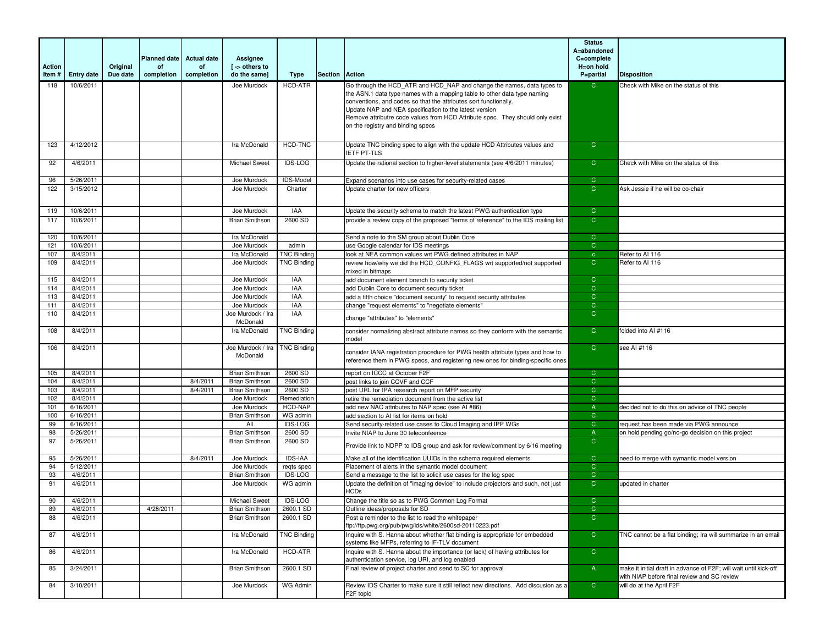| Action<br>Item# | <b>Entry date</b>      | Original<br>Due date | <b>Planned date</b><br>οf<br>completion | <b>Actual date</b><br>of<br>completion | Assignee<br>$\mathsf{I}$ -> others to<br>do the same] | Type                      | Section | <b>Action</b>                                                                                                                                                                                                                                                                                                                                                                                          | <b>Status</b><br>A=abandoned<br>C=complete<br>H=on hold<br>P=partial | <b>Disposition</b>                                                                                               |
|-----------------|------------------------|----------------------|-----------------------------------------|----------------------------------------|-------------------------------------------------------|---------------------------|---------|--------------------------------------------------------------------------------------------------------------------------------------------------------------------------------------------------------------------------------------------------------------------------------------------------------------------------------------------------------------------------------------------------------|----------------------------------------------------------------------|------------------------------------------------------------------------------------------------------------------|
| 118             | 10/6/2011              |                      |                                         |                                        | Joe Murdock                                           | HCD-ATR                   |         | Go through the HCD ATR and HCD NAP and change the names, data types to<br>the ASN.1 data type names with a mapping table to other data type naming<br>conventions, and codes so that the attributes sort functionally.<br>Update NAP and NEA specification to the latest version<br>Remove attributre code values from HCD Attribute spec. They should only exist<br>on the registry and binding specs | $\mathsf{C}$                                                         | Check with Mike on the status of this                                                                            |
| 123             | 4/12/2012              |                      |                                         |                                        | Ira McDonald                                          | HCD-TNC                   |         | Update TNC binding spec to align with the update HCD Attributes values and<br><b>IETF PT-TLS</b>                                                                                                                                                                                                                                                                                                       | $\mathsf{C}$                                                         |                                                                                                                  |
| 92              | 4/6/2011               |                      |                                         |                                        | <b>Michael Sweet</b>                                  | <b>IDS-LOG</b>            |         | Update the rational section to higher-level statements (see 4/6/2011 minutes)                                                                                                                                                                                                                                                                                                                          | $\mathsf{C}$                                                         | Check with Mike on the status of this                                                                            |
| 96              | 5/26/2011              |                      |                                         |                                        | Joe Murdock                                           | IDS-Model                 |         | Expand scenarios into use cases for security-related cases                                                                                                                                                                                                                                                                                                                                             | $\mathsf{C}$                                                         |                                                                                                                  |
| 122             | 3/15/2012              |                      |                                         |                                        | Joe Murdock                                           | Charter                   |         | Update charter for new officers                                                                                                                                                                                                                                                                                                                                                                        | $\overline{C}$                                                       | Ask Jessie if he will be co-chair                                                                                |
| 119             | 10/6/2011              |                      |                                         |                                        | Joe Murdock                                           | <b>IAA</b>                |         | Update the security schema to match the latest PWG authentication type                                                                                                                                                                                                                                                                                                                                 | $\mathsf{C}$                                                         |                                                                                                                  |
| 117             | 10/6/2011              |                      |                                         |                                        | <b>Brian Smithson</b>                                 | 2600 SD                   |         | provide a review copy of the proposed "terms of reference" to the IDS mailing list                                                                                                                                                                                                                                                                                                                     | $\overline{C}$                                                       |                                                                                                                  |
| 120             | 10/6/2011              |                      |                                         |                                        | Ira McDonald                                          |                           |         | Send a note to the SM group about Dublin Core                                                                                                                                                                                                                                                                                                                                                          | $\mathcal{C}$                                                        |                                                                                                                  |
| 121             | 10/6/2011              |                      |                                         |                                        | Joe Murdock                                           | admin                     |         | use Google calendar for IDS meetings                                                                                                                                                                                                                                                                                                                                                                   | $\mathsf{C}$                                                         |                                                                                                                  |
| 107             | 8/4/2011               |                      |                                         |                                        | Ira McDonald                                          | <b>TNC Binding</b>        |         | look at NEA common values wrt PWG defined attributes in NAP                                                                                                                                                                                                                                                                                                                                            | $\mathbf{C}$                                                         | Refer to AI 116                                                                                                  |
| 109             | 8/4/2011               |                      |                                         |                                        | Joe Murdock                                           | <b>TNC Binding</b>        |         | review how/why we did the HCD_CONFIG_FLAGS wrt supported/not supported<br>mixed in bitmaps                                                                                                                                                                                                                                                                                                             | $\mathsf{C}$                                                         | Refer to Al 116                                                                                                  |
| 115             | 8/4/2011               |                      |                                         |                                        | Joe Murdock                                           | IAA                       |         | add document element branch to security ticket                                                                                                                                                                                                                                                                                                                                                         | $\mathsf{C}$                                                         |                                                                                                                  |
| 114             | 8/4/2011               |                      |                                         |                                        | Joe Murdock                                           | IAA                       |         | add Dublin Core to document security ticket                                                                                                                                                                                                                                                                                                                                                            | $\mathsf{C}$                                                         |                                                                                                                  |
| 113             | 8/4/2011               |                      |                                         |                                        | Joe Murdock                                           | <b>IAA</b>                |         | add a fifth choice "document security" to request security attributes                                                                                                                                                                                                                                                                                                                                  | $\overline{C}$                                                       |                                                                                                                  |
| 111             | 8/4/2011               |                      |                                         |                                        | Joe Murdock                                           | IAA                       |         | change "request elements" to "negotiate elements"                                                                                                                                                                                                                                                                                                                                                      | $\mathsf{C}$                                                         |                                                                                                                  |
| 110             | 8/4/2011               |                      |                                         |                                        | Joe Murdock / Ira<br>McDonald                         | <b>IAA</b>                |         | change "attributes" to "elements"                                                                                                                                                                                                                                                                                                                                                                      | $\overline{C}$                                                       |                                                                                                                  |
| 108             | 8/4/2011               |                      |                                         |                                        | Ira McDonald                                          | <b>TNC Binding</b>        |         | consider normalizing abstract attribute names so they conform with the semantic<br>model                                                                                                                                                                                                                                                                                                               | $\mathsf{C}$                                                         | folded into AI #116                                                                                              |
| 106             | 8/4/2011               |                      |                                         |                                        | Joe Murdock / Ira<br>McDonald                         | <b>TNC Binding</b>        |         | consider IANA registration procedure for PWG health attribute types and how to<br>reference them in PWG specs, and registering new ones for binding-specific ones                                                                                                                                                                                                                                      | $\mathsf{C}$                                                         | see AI #116                                                                                                      |
| 105             | 8/4/2011               |                      |                                         |                                        | <b>Brian Smithson</b>                                 | 2600 SD                   |         | report on ICCC at October F2F                                                                                                                                                                                                                                                                                                                                                                          | $\mathsf{C}$                                                         |                                                                                                                  |
| 104             | 8/4/2011               |                      |                                         | 8/4/2011                               | <b>Brian Smithson</b>                                 | 2600 SD                   |         | post links to join CCVF and CCF                                                                                                                                                                                                                                                                                                                                                                        | $\mathsf{C}$                                                         |                                                                                                                  |
| 103             | 8/4/2011               |                      |                                         | 8/4/2011                               | <b>Brian Smithson</b>                                 | 2600 SD                   |         | post URL for IPA research report on MFP security                                                                                                                                                                                                                                                                                                                                                       | $\mathsf{C}$                                                         |                                                                                                                  |
| 102             | 8/4/2011               |                      |                                         |                                        | Joe Murdock                                           | Remediation               |         | retire the remediation document from the active list                                                                                                                                                                                                                                                                                                                                                   | $\overline{C}$                                                       |                                                                                                                  |
| 101             | 6/16/2011              |                      |                                         |                                        | Joe Murdock                                           | HCD-NAP                   |         | add new NAC attributes to NAP spec (see AI #86)                                                                                                                                                                                                                                                                                                                                                        | $\overline{A}$                                                       | decided not to do this on advice of TNC people                                                                   |
| 100             | 6/16/2011              |                      |                                         |                                        | <b>Brian Smithson</b>                                 | WG admin                  |         | add section to AI list for items on hold                                                                                                                                                                                                                                                                                                                                                               | $\overline{C}$                                                       |                                                                                                                  |
| 99<br>98        | 6/16/2011<br>5/26/2011 |                      |                                         |                                        | All<br><b>Brian Smithson</b>                          | <b>IDS-LOG</b><br>2600 SD |         | Send security-related use cases to Cloud Imaging and IPP WGs<br>Invite NIAP to June 30 teleconfeence                                                                                                                                                                                                                                                                                                   | $\mathsf{C}$<br>$\mathsf{A}$                                         | request has been made via PWG announce<br>on hold pending go/no-go decision on this project                      |
| 97              | 5/26/2011              |                      |                                         |                                        | <b>Brian Smithson</b>                                 | 2600 SD                   |         | Provide link to NDPP to IDS group and ask for review/comment by 6/16 meeting                                                                                                                                                                                                                                                                                                                           | $\mathsf{C}$                                                         |                                                                                                                  |
| 95              | 5/26/2011              |                      |                                         | 8/4/2011                               | Joe Murdock                                           | <b>IDS-IAA</b>            |         | Make all of the identification UUIDs in the schema required elements                                                                                                                                                                                                                                                                                                                                   | $\mathbf C$                                                          | need to merge with symantic model version                                                                        |
| 94              | 5/12/2011              |                      |                                         |                                        | Joe Murdock                                           | regts spec                |         | Placement of alerts in the symantic model document                                                                                                                                                                                                                                                                                                                                                     | $\mathsf{C}$                                                         |                                                                                                                  |
| 93              | 4/6/2011               |                      |                                         |                                        | <b>Brian Smithson</b>                                 | <b>IDS-LOG</b>            |         | Send a message to the list to solicit use cases for the log spec                                                                                                                                                                                                                                                                                                                                       | $\mathsf{C}$                                                         |                                                                                                                  |
| 91              | 4/6/2011               |                      |                                         |                                        | Joe Murdock                                           | WG admin                  |         | Update the definition of "imaging device" to include projectors and such, not just<br>HCDs                                                                                                                                                                                                                                                                                                             | $\mathsf{C}$                                                         | updated in charter                                                                                               |
| 90              | 4/6/2011               |                      |                                         |                                        | <b>Michael Sweet</b>                                  | <b>IDS-LOG</b>            |         | Change the title so as to PWG Common Log Format                                                                                                                                                                                                                                                                                                                                                        | $\mathsf{C}$                                                         |                                                                                                                  |
| 89              | 4/6/2011               |                      | 4/28/2011                               |                                        | <b>Brian Smithson</b>                                 | 2600.1 SD                 |         | Outline ideas/proposals for SD                                                                                                                                                                                                                                                                                                                                                                         | $\mathbf C$                                                          |                                                                                                                  |
| 88              | 4/6/2011               |                      |                                         |                                        | <b>Brian Smithson</b>                                 | 2600.1 SD                 |         | Post a reminder to the list to read the whitepaper<br>ftp://ftp.pwg.org/pub/pwg/ids/white/2600sd-20110223.pdf                                                                                                                                                                                                                                                                                          | $\overline{C}$                                                       |                                                                                                                  |
| 87              | 4/6/2011               |                      |                                         |                                        | Ira McDonald                                          | <b>TNC Binding</b>        |         | Inquire with S. Hanna about whether flat binding is appropriate for embedded<br>systems like MFPs, referring to IF-TLV document                                                                                                                                                                                                                                                                        | $\overline{C}$                                                       | TNC cannot be a flat binding; Ira will summarize in an email                                                     |
| 86              | 4/6/2011               |                      |                                         |                                        | Ira McDonald                                          | HCD-ATR                   |         | Inquire with S. Hanna about the importance (or lack) of having attributes for<br>authentication service, log URI, and log enabled                                                                                                                                                                                                                                                                      | $\overline{C}$                                                       |                                                                                                                  |
| 85              | 3/24/2011              |                      |                                         |                                        | <b>Brian Smithson</b>                                 | 2600.1 SD                 |         | Final review of project charter and send to SC for approval                                                                                                                                                                                                                                                                                                                                            | $\overline{A}$                                                       | make it initial draft in advance of F2F: will wait until kick-off<br>with NIAP before final review and SC review |
| 84              | 3/10/2011              |                      |                                         |                                        | Joe Murdock                                           | WG Admin                  |         | Review IDS Charter to make sure it still reflect new directions. Add discusion as a<br>F <sub>2</sub> F topic                                                                                                                                                                                                                                                                                          | $\mathsf{C}$                                                         | will do at the April F2F                                                                                         |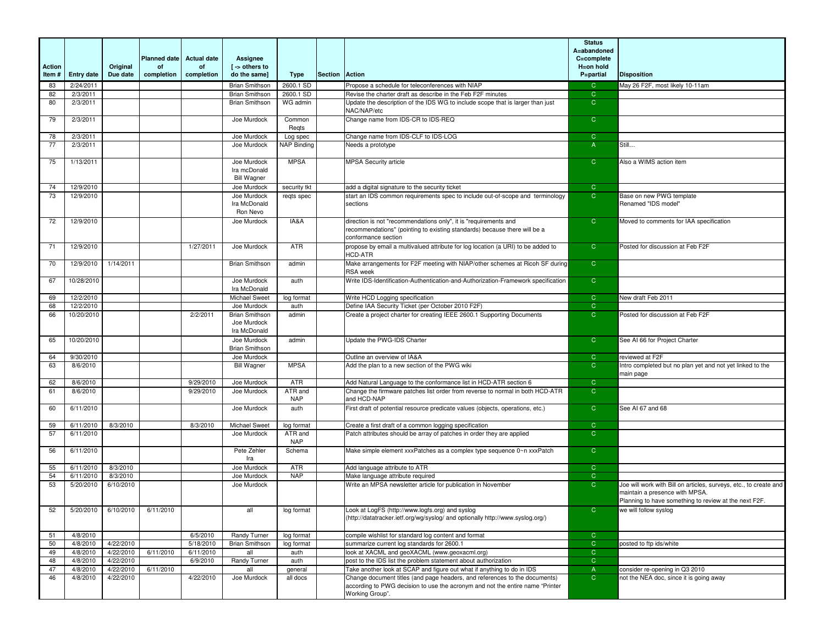|               |                      |                        |                     |                    |                                                      |                       |                |                                                                                                                                                                      | <b>Status</b><br>A=abandoned  |                                                                                                                                                              |
|---------------|----------------------|------------------------|---------------------|--------------------|------------------------------------------------------|-----------------------|----------------|----------------------------------------------------------------------------------------------------------------------------------------------------------------------|-------------------------------|--------------------------------------------------------------------------------------------------------------------------------------------------------------|
|               |                      |                        | <b>Planned date</b> | <b>Actual date</b> | Assignee                                             |                       |                |                                                                                                                                                                      | C=complete                    |                                                                                                                                                              |
| <b>Action</b> |                      | Original               | <b>of</b>           | of                 | [ -> others to                                       |                       |                |                                                                                                                                                                      | H=on hold                     |                                                                                                                                                              |
| Item#         | <b>Entry date</b>    | Due date               | completion          | completion         | do the same]                                         | Type                  | Section Action |                                                                                                                                                                      | P=partial                     | <b>Disposition</b>                                                                                                                                           |
| 83            | 2/24/2011            |                        |                     |                    | <b>Brian Smithson</b>                                | 2600.1 SD             |                | Propose a schedule for teleconferences with NIAP                                                                                                                     | $\mathbf C$                   | May 26 F2F, most likely 10-11am                                                                                                                              |
| 82            | 2/3/2011             |                        |                     |                    | <b>Brian Smithson</b>                                | 2600.1 SD             |                | Revise the charter draft as describe in the Feb F2F minutes                                                                                                          | $\mathsf{C}$                  |                                                                                                                                                              |
| 80            | 2/3/2011             |                        |                     |                    | <b>Brian Smithson</b>                                | WG admin              |                | Update the description of the IDS WG to include scope that is larger than just<br>NAC/NAP/etc                                                                        | $\overline{C}$                |                                                                                                                                                              |
| 79            | 2/3/2011             |                        |                     |                    | Joe Murdock                                          | Common<br>Regts       |                | Change name from IDS-CR to IDS-REQ                                                                                                                                   | $\mathsf{C}$                  |                                                                                                                                                              |
| 78            | 2/3/2011             |                        |                     |                    | Joe Murdock                                          | Log spec              |                | Change name from IDS-CLF to IDS-LOG                                                                                                                                  | $\mathsf{C}$                  |                                                                                                                                                              |
| 77            | 2/3/2011             |                        |                     |                    | Joe Murdock                                          | NAP Binding           |                | Needs a prototype                                                                                                                                                    | $\overline{A}$                | Still                                                                                                                                                        |
| 75            | 1/13/2011            |                        |                     |                    | Joe Murdock<br>Ira mcDonald<br><b>Bill Wagner</b>    | <b>MPSA</b>           |                | <b>MPSA Security article</b>                                                                                                                                         | $\mathsf{C}$                  | Also a WIMS action item                                                                                                                                      |
| 74            | 12/9/2010            |                        |                     |                    | Joe Murdock                                          | security tkt          |                | add a digital signature to the security ticket                                                                                                                       | $\mathbf C$                   |                                                                                                                                                              |
| 73            | 12/9/2010            |                        |                     |                    | Joe Murdock<br>Ira McDonald<br>Ron Nevo              | regts spec            |                | start an IDS common requirements spec to include out-of-scope and terminology<br>sections                                                                            | $\overline{C}$                | Base on new PWG template<br>Renamed "IDS model"                                                                                                              |
| 72            | 12/9/2010            |                        |                     |                    | Joe Murdock                                          | IA&A                  |                | direction is not "recommendations only", it is "requirements and<br>recommendations" (pointing to existing standards) because there will be a<br>conformance section | $\overline{C}$                | Moved to comments for IAA specification                                                                                                                      |
| 71            | 12/9/2010            |                        |                     | 1/27/2011          | Joe Murdock                                          | <b>ATR</b>            |                | propose by email a multivalued attribute for log location (a URI) to be added to<br><b>HCD-ATR</b>                                                                   | $\overline{C}$                | Posted for discussion at Feb F2F                                                                                                                             |
| 70            | 12/9/2010            | 1/14/2011              |                     |                    | <b>Brian Smithson</b>                                | admin                 |                | Make arrangements for F2F meeting with NIAP/other schemes at Ricoh SF during<br><b>RSA</b> week                                                                      | $\mathsf{C}$                  |                                                                                                                                                              |
| 67            | 10/28/2010           |                        |                     |                    | Joe Murdock<br>Ira McDonald                          | auth                  |                | Write IDS-Identification-Authentication-and-Authorization-Framework specification                                                                                    | $\overline{C}$                |                                                                                                                                                              |
| 69            | 12/2/2010            |                        |                     |                    | Michael Sweet                                        | log format            |                | Write HCD Logging specification                                                                                                                                      | $\mathsf{C}$                  | New draft Feb 2011                                                                                                                                           |
| 68            | 12/2/2010            |                        |                     |                    | Joe Murdock                                          | auth                  |                | Define IAA Security Ticket (per October 2010 F2F)                                                                                                                    | $\overline{C}$                |                                                                                                                                                              |
| 66            | 10/20/2010           |                        |                     | 2/2/2011           | <b>Brian Smithson</b><br>Joe Murdock<br>Ira McDonald | admin                 |                | Create a project charter for creating IEEE 2600.1 Supporting Documents                                                                                               | $\overline{C}$                | Posted for discussion at Feb F2F                                                                                                                             |
| 65            | 10/20/2010           |                        |                     |                    | Joe Murdock<br><b>Brian Smithson</b>                 | admin                 |                | Update the PWG-IDS Charter                                                                                                                                           | $\overline{C}$                | See AI 66 for Project Charter                                                                                                                                |
| 64            | 9/30/2010            |                        |                     |                    | Joe Murdock                                          |                       |                | Outline an overview of IA&A                                                                                                                                          | $\mathsf{C}$                  | reviewed at F2F                                                                                                                                              |
| 63            | 8/6/2010             |                        |                     |                    | <b>Bill Wagner</b>                                   | <b>MPSA</b>           |                | Add the plan to a new section of the PWG wiki                                                                                                                        | $\overline{C}$                | Intro completed but no plan yet and not yet linked to the<br>main page                                                                                       |
| 62            | 8/6/2010             |                        |                     | 9/29/2010          | Joe Murdock                                          | <b>ATR</b>            |                | Add Natural Language to the conformance list in HCD-ATR section 6                                                                                                    | $\mathbf C$                   |                                                                                                                                                              |
| 61            | 8/6/2010             |                        |                     | 9/29/2010          | Joe Murdock                                          | ATR and<br><b>NAP</b> |                | Change the firmware patches list order from reverse to normal in both HCD-ATR<br>and HCD-NAP                                                                         | $\overline{C}$                |                                                                                                                                                              |
| 60            | 6/11/2010            |                        |                     |                    | Joe Murdock                                          | auth                  |                | First draft of potential resource predicate values (objects, operations, etc.)                                                                                       | $\mathsf{C}$                  | See AI 67 and 68                                                                                                                                             |
| 59            | 6/11/2010            | 8/3/2010               |                     | 8/3/2010           | Michael Sweet                                        | log format            |                | Create a first draft of a common logging specification                                                                                                               | $\mathsf{C}$                  |                                                                                                                                                              |
| 57            | 6/11/2010            |                        |                     |                    | Joe Murdock                                          | ATR and<br><b>NAP</b> |                | Patch attributes should be array of patches in order they are applied                                                                                                | $\overline{C}$                |                                                                                                                                                              |
| 56            | 6/11/2010            |                        |                     |                    | Pete Zehler<br>Ira                                   | Schema                |                | Make simple element xxxPatches as a complex type sequence 0~n xxxPatch                                                                                               | $\mathsf{C}$                  |                                                                                                                                                              |
| 55            | 6/11/2010            | 8/3/2010               |                     |                    | Joe Murdock                                          | ATR                   |                | Add language attribute to ATR                                                                                                                                        | $\mathsf{C}$                  |                                                                                                                                                              |
| 54            | 6/11/2010            | 8/3/2010<br>6/10/2010  |                     |                    | Joe Murdock                                          | <b>NAP</b>            |                | Make language attribute required                                                                                                                                     | $\mathbf C$<br>$\overline{C}$ |                                                                                                                                                              |
| 53            | 5/20/2010            |                        |                     |                    | Joe Murdock                                          |                       |                | Write an MPSA newsletter article for publication in November                                                                                                         |                               | Joe will work with Bill on articles, surveys, etc., to create and<br>maintain a presence with MPSA.<br>Planning to have something to review at the next F2F. |
| 52            | 5/20/2010            | 6/10/2010              | 6/11/2010           |                    | all                                                  | log format            |                | Look at LogFS (http://www.logfs.org) and syslog<br>(http://datatracker.ietf.org/wg/syslog/ and optionally http://www.syslog.org/)                                    | $\mathsf{C}$                  | we will follow syslog                                                                                                                                        |
| 51            | 4/8/2010             |                        |                     | 6/5/2010           | Randy Turner                                         | log format            |                | compile wishlist for standard log content and format                                                                                                                 | $\mathsf C$                   |                                                                                                                                                              |
| 50            | 4/8/2010             | 4/22/2010              |                     | 5/18/2010          | <b>Brian Smithson</b>                                | log format            |                | summarize current log standards for 2600.1                                                                                                                           | $\overline{C}$                | posted to ftp ids/white                                                                                                                                      |
| 49            | 4/8/2010             | 4/22/2010              | 6/11/2010           | 6/11/2010          | all                                                  | auth                  |                | look at XACML and geoXACML (www.geoxacml.org)                                                                                                                        | $\overline{C}$                |                                                                                                                                                              |
| 48<br>47      | 4/8/2010             | 4/22/2010              | 6/11/2010           | 6/9/2010           | Randy Turner<br>all                                  | auth                  |                | post to the IDS list the problem statement about authorization<br>Take another look at SCAP and figure out what if anything to do in IDS                             | $\mathbf C$<br>$\overline{A}$ |                                                                                                                                                              |
| 46            | 4/8/2010<br>4/8/2010 | 4/22/2010<br>4/22/2010 |                     | 4/22/2010          | Joe Murdock                                          | general<br>all docs   |                | Change document titles (and page headers, and references to the documents)<br>according to PWG decision to use the acronym and not the entire name "Printer"         | $\overline{C}$                | consider re-opening in Q3 2010<br>not the NEA doc, since it is going away                                                                                    |
|               |                      |                        |                     |                    |                                                      |                       |                | Working Group".                                                                                                                                                      |                               |                                                                                                                                                              |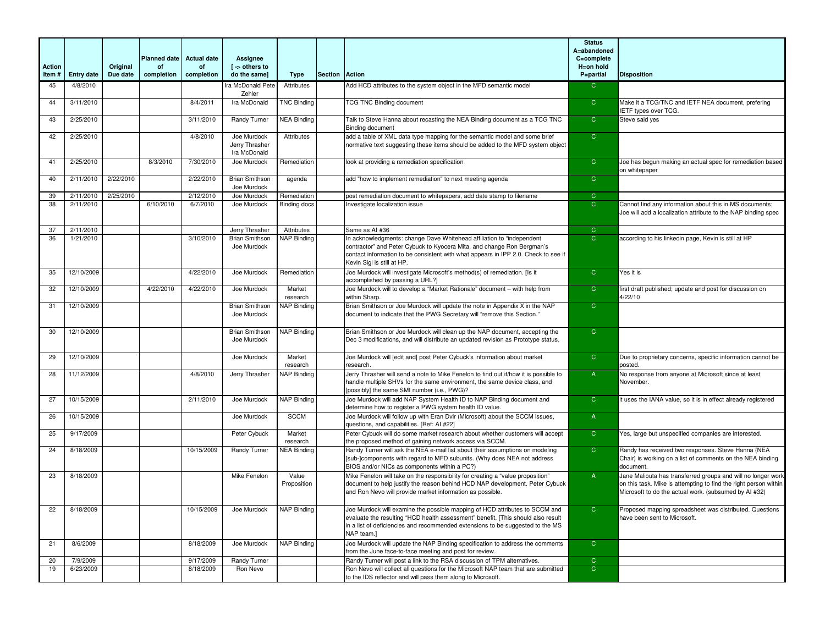|        |                   |           |                           |                          |                                               |                      |                |                                                                                                                                                                                                                                                                     | <b>Status</b><br>A=abandoned |                                                                                                                                                                                           |
|--------|-------------------|-----------|---------------------------|--------------------------|-----------------------------------------------|----------------------|----------------|---------------------------------------------------------------------------------------------------------------------------------------------------------------------------------------------------------------------------------------------------------------------|------------------------------|-------------------------------------------------------------------------------------------------------------------------------------------------------------------------------------------|
| Action |                   | Original  | <b>Planned date</b><br>of | <b>Actual date</b><br>of | Assignee<br>[ -> others to                    |                      |                |                                                                                                                                                                                                                                                                     | C=complete<br>H=on hold      |                                                                                                                                                                                           |
| Item#  | <b>Entry date</b> | Due date  | completion                | completion               | do the same]                                  | Type                 | Section Action |                                                                                                                                                                                                                                                                     | P=partial                    | <b>Disposition</b>                                                                                                                                                                        |
| 45     | 4/8/2010          |           |                           |                          | Ira McDonald Pete<br>Zehler                   | Attributes           |                | Add HCD attributes to the system object in the MFD semantic model                                                                                                                                                                                                   | $\overline{C}$               |                                                                                                                                                                                           |
| 44     | 3/11/2010         |           |                           | 8/4/2011                 | Ira McDonald                                  | <b>TNC Binding</b>   |                | <b>TCG TNC Binding document</b>                                                                                                                                                                                                                                     | $\overline{C}$               | Make it a TCG/TNC and IETF NEA document, prefering<br><b>ETF types over TCG.</b>                                                                                                          |
| 43     | 2/25/2010         |           |                           | 3/11/2010                | Randy Turner                                  | <b>NEA Binding</b>   |                | Talk to Steve Hanna about recasting the NEA Binding document as a TCG TNC<br><b>Binding document</b>                                                                                                                                                                | $\overline{C}$               | Steve said yes                                                                                                                                                                            |
| 42     | 2/25/2010         |           |                           | 4/8/2010                 | Joe Murdock<br>Jerry Thrasher<br>Ira McDonald | Attributes           |                | add a table of XML data type mapping for the semantic model and some brief<br>normative text suggesting these items should be added to the MFD system object                                                                                                        | $\overline{C}$               |                                                                                                                                                                                           |
| 41     | 2/25/2010         |           | 8/3/2010                  | 7/30/2010                | Joe Murdock                                   | Remediation          |                | look at providing a remediation specification                                                                                                                                                                                                                       | $\overline{C}$               | Joe has begun making an actual spec for remediation based<br>on whitepaper                                                                                                                |
| 40     | 2/11/2010         | 2/22/2010 |                           | 2/22/2010                | <b>Brian Smithson</b><br>Joe Murdock          | agenda               |                | add "how to implement remediation" to next meeting agenda                                                                                                                                                                                                           | $\overline{C}$               |                                                                                                                                                                                           |
| 39     | 2/11/2010         | 2/25/2010 |                           | 2/12/2010                | Joe Murdock                                   | Remediation          |                | post remediation document to whitepapers, add date stamp to filename                                                                                                                                                                                                | $\mathbf C$                  |                                                                                                                                                                                           |
| 38     | 2/11/2010         |           | 6/10/2010                 | 6/7/2010                 | Joe Murdock                                   | Binding docs         |                | Investigate localization issue                                                                                                                                                                                                                                      | $\mathsf{C}$                 | Cannot find any information about this in MS documents;<br>Joe will add a localization attribute to the NAP binding spec                                                                  |
| 37     | 2/11/2010         |           |                           |                          | Jerry Thrasher                                | Attributes           |                | Same as AI #36                                                                                                                                                                                                                                                      | $\overline{C}$               |                                                                                                                                                                                           |
| 36     | 1/21/2010         |           |                           | 3/10/2010                | <b>Brian Smithson</b><br>Joe Murdock          | <b>NAP Binding</b>   |                | In acknowledgments: change Dave Whitehead affiliation to "independent<br>contractor" and Peter Cybuck to Kyocera Mita, and change Ron Bergman's<br>contact information to be consistent with what appears in IPP 2.0. Check to see if<br>Kevin Sigl is still at HP. | $\overline{C}$               | according to his linkedin page, Kevin is still at HP                                                                                                                                      |
| 35     | 12/10/2009        |           |                           | 4/22/2010                | Joe Murdock                                   | Remediation          |                | Joe Murdock will investigate Microsoft's method(s) of remediation. [Is it<br>accomplished by passing a URL?]                                                                                                                                                        | $\overline{C}$               | Yes it is                                                                                                                                                                                 |
| 32     | 12/10/2009        |           | 4/22/2010                 | 4/22/2010                | Joe Murdock                                   | Market<br>research   |                | Joe Murdock will to develop a "Market Rationale" document - with help from<br>within Sharp.                                                                                                                                                                         | $\overline{C}$               | first draft published; update and post for discussion on<br>4/22/10                                                                                                                       |
| 31     | 12/10/2009        |           |                           |                          | <b>Brian Smithson</b><br>Joe Murdock          | <b>NAP Binding</b>   |                | Brian Smithson or Joe Murdock will update the note in Appendix X in the NAP<br>document to indicate that the PWG Secretary will "remove this Section."                                                                                                              | $\overline{C}$               |                                                                                                                                                                                           |
| 30     | 12/10/2009        |           |                           |                          | <b>Brian Smithson</b><br>Joe Murdock          | <b>NAP Binding</b>   |                | Brian Smithson or Joe Murdock will clean up the NAP document, accepting the<br>Dec 3 modifications, and will distribute an updated revision as Prototype status.                                                                                                    | $\overline{C}$               |                                                                                                                                                                                           |
| 29     | 12/10/2009        |           |                           |                          | Joe Murdock                                   | Market<br>research   |                | Joe Murdock will [edit and] post Peter Cybuck's information about market<br>research                                                                                                                                                                                | $\overline{C}$               | Due to proprietary concerns, specific information cannot be<br>oosted.                                                                                                                    |
| 28     | 11/12/2009        |           |                           | 4/8/2010                 | Jerry Thrasher                                | <b>NAP Binding</b>   |                | Jerry Thrasher will send a note to Mike Fenelon to find out if/how it is possible to<br>handle multiple SHVs for the same environment, the same device class, and<br>[possibly] the same SMI number (i.e., PWG)?                                                    | $\overline{A}$               | No response from anyone at Microsoft since at least<br>November.                                                                                                                          |
| 27     | 10/15/2009        |           |                           | 2/11/2010                | Joe Murdock                                   | <b>NAP Binding</b>   |                | Joe Murdock will add NAP System Health ID to NAP Binding document and<br>determine how to register a PWG system health ID value.                                                                                                                                    | $\overline{C}$               | it uses the IANA value, so it is in effect already registered                                                                                                                             |
| 26     | 10/15/2009        |           |                           |                          | Joe Murdock                                   | <b>SCCM</b>          |                | Joe Murdock will follow up with Eran Dvir (Microsoft) about the SCCM issues,<br>questions, and capabilities. [Ref: AI #22]                                                                                                                                          | $\overline{A}$               |                                                                                                                                                                                           |
| 25     | 9/17/2009         |           |                           |                          | Peter Cybuck                                  | Market<br>research   |                | Peter Cybuck will do some market research about whether customers will accept<br>the proposed method of gaining network access via SCCM.                                                                                                                            | $\overline{C}$               | Yes, large but unspecified companies are interested.                                                                                                                                      |
| 24     | 8/18/2009         |           |                           | 10/15/2009               | Randy Turner                                  | <b>NEA Binding</b>   |                | Randy Turner will ask the NEA e-mail list about their assumptions on modeling<br>[sub-]components with regard to MFD subunits. (Why does NEA not address<br>BIOS and/or NICs as components within a PC?)                                                            | $\overline{C}$               | Randy has received two responses. Steve Hanna (NEA<br>Chair) is working on a list of comments on the NEA binding<br>document.                                                             |
| 23     | 8/18/2009         |           |                           |                          | Mike Fenelon                                  | Value<br>Proposition |                | Mike Fenelon will take on the responsibility for creating a "value proposition"<br>document to help justify the reason behind HCD NAP development. Peter Cybuck<br>and Ron Nevo will provide market information as possible.                                        | $\overline{A}$               | Jane Maliouta has transferred groups and will no longer work<br>on this task. Mike is attempting to find the right person within<br>Microsoft to do the actual work. (subsumed by AI #32) |
| 22     | 8/18/2009         |           |                           | 10/15/2009               | Joe Murdock                                   | <b>NAP Binding</b>   |                | Joe Murdock will examine the possible mapping of HCD attributes to SCCM and<br>evaluate the resulting "HCD health assessment" benefit. [This should also result<br>in a list of deficiencies and recommended extensions to be suggested to the MS<br>NAP team.]     | $\mathsf{C}$                 | Proposed mapping spreadsheet was distributed. Questions<br>have been sent to Microsoft.                                                                                                   |
| 21     | 8/6/2009          |           |                           | 8/18/2009                | Joe Murdock                                   | <b>NAP Binding</b>   |                | Joe Murdock will update the NAP Binding specification to address the comments<br>from the June face-to-face meeting and post for review.                                                                                                                            | $\overline{C}$               |                                                                                                                                                                                           |
| 20     | 7/9/2009          |           |                           | 9/17/2009                | Randy Turner                                  |                      |                | Randy Turner will post a link to the RSA discussion of TPM alternatives.                                                                                                                                                                                            | $\overline{C}$               |                                                                                                                                                                                           |
| 19     | 6/23/2009         |           |                           | 8/18/2009                | Ron Nevo                                      |                      |                | Ron Nevo will collect all questions for the Microsoft NAP team that are submitted                                                                                                                                                                                   | $\overline{C}$               |                                                                                                                                                                                           |
|        |                   |           |                           |                          |                                               |                      |                | to the IDS reflector and will pass them along to Microsoft.                                                                                                                                                                                                         |                              |                                                                                                                                                                                           |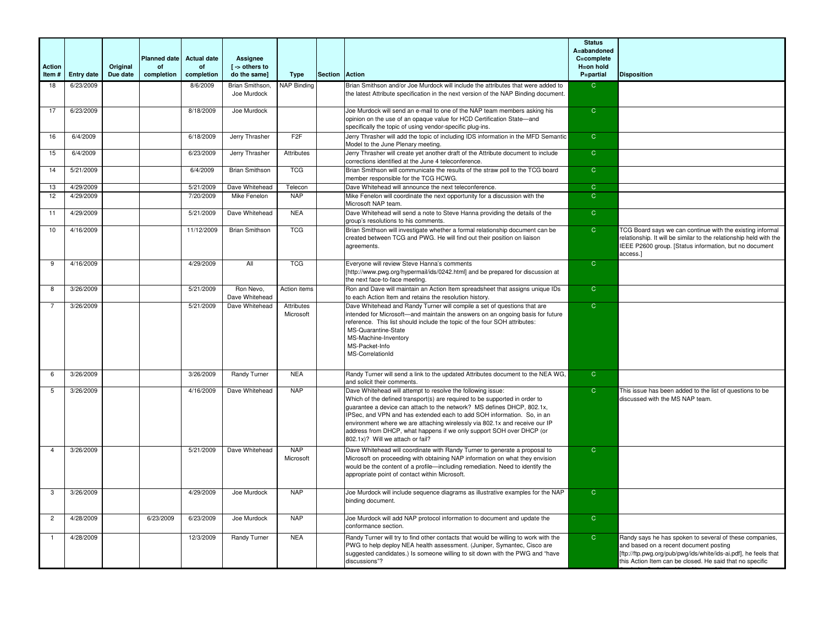|                        |                   |          |                           |                          |                                |                         |                |                                                                                                                                                                                                                                                                                                                                                                                                                                                                                          | <b>Status</b><br>A=abandoned |                                                                                                                                                                                                                                  |
|------------------------|-------------------|----------|---------------------------|--------------------------|--------------------------------|-------------------------|----------------|------------------------------------------------------------------------------------------------------------------------------------------------------------------------------------------------------------------------------------------------------------------------------------------------------------------------------------------------------------------------------------------------------------------------------------------------------------------------------------------|------------------------------|----------------------------------------------------------------------------------------------------------------------------------------------------------------------------------------------------------------------------------|
|                        |                   | Original | <b>Planned date</b><br>of | <b>Actual date</b><br>of | Assianee<br>[ -> others to     |                         |                |                                                                                                                                                                                                                                                                                                                                                                                                                                                                                          | C=complete<br>H=on hold      |                                                                                                                                                                                                                                  |
| <b>Action</b><br>Item# | <b>Entry date</b> | Due date | completion                | completion               | do the samel                   | Type                    | <b>Section</b> | <b>Action</b>                                                                                                                                                                                                                                                                                                                                                                                                                                                                            | P=partial                    | <b>Disposition</b>                                                                                                                                                                                                               |
| 18                     | 6/23/2009         |          |                           | 8/6/2009                 | Brian Smithson,<br>Joe Murdock | <b>NAP Binding</b>      |                | Brian Smithson and/or Joe Murdock will include the attributes that were added to<br>the latest Attribute specification in the next version of the NAP Binding document.                                                                                                                                                                                                                                                                                                                  | $\mathsf{C}$                 |                                                                                                                                                                                                                                  |
| 17                     | 6/23/2009         |          |                           | 8/18/2009                | Joe Murdock                    |                         |                | Joe Murdock will send an e-mail to one of the NAP team members asking his<br>opinion on the use of an opaque value for HCD Certification State-and<br>specifically the topic of using vendor-specific plug-ins.                                                                                                                                                                                                                                                                          | $\overline{C}$               |                                                                                                                                                                                                                                  |
| 16                     | 6/4/2009          |          |                           | 6/18/2009                | Jerry Thrasher                 | F2F                     |                | Jerry Thrasher will add the topic of including IDS information in the MFD Semantic<br>Model to the June Plenary meeting.                                                                                                                                                                                                                                                                                                                                                                 | $\overline{C}$               |                                                                                                                                                                                                                                  |
| 15                     | 6/4/2009          |          |                           | 6/23/2009                | Jerry Thrasher                 | Attributes              |                | Jerry Thrasher will create yet another draft of the Attribute document to include<br>corrections identified at the June 4 teleconference.                                                                                                                                                                                                                                                                                                                                                | $\overline{C}$               |                                                                                                                                                                                                                                  |
| 14                     | 5/21/2009         |          |                           | 6/4/2009                 | <b>Brian Smithson</b>          | <b>TCG</b>              |                | Brian Smithson will communicate the results of the straw poll to the TCG board<br>member responsible for the TCG HCWG.                                                                                                                                                                                                                                                                                                                                                                   | $\overline{C}$               |                                                                                                                                                                                                                                  |
| 13                     | 4/29/2009         |          |                           | 5/21/2009                | Dave Whitehead                 | Telecon                 |                | Dave Whitehead will announce the next teleconference.                                                                                                                                                                                                                                                                                                                                                                                                                                    | $\overline{C}$               |                                                                                                                                                                                                                                  |
| 12                     | 4/29/2009         |          |                           | 7/20/2009                | Mike Fenelon                   | <b>NAP</b>              |                | Mike Fenelon will coordinate the next opportunity for a discussion with the<br>Microsoft NAP team.                                                                                                                                                                                                                                                                                                                                                                                       | $\overline{C}$               |                                                                                                                                                                                                                                  |
| 11                     | 4/29/2009         |          |                           | 5/21/2009                | Dave Whitehead                 | <b>NEA</b>              |                | Dave Whitehead will send a note to Steve Hanna providing the details of the<br>group's resolutions to his comments.                                                                                                                                                                                                                                                                                                                                                                      | $\overline{C}$               |                                                                                                                                                                                                                                  |
| 10                     | 4/16/2009         |          |                           | 11/12/2009               | <b>Brian Smithson</b>          | <b>TCG</b>              |                | Brian Smithson will investigate whether a formal relationship document can be<br>created between TCG and PWG. He will find out their position on liaison<br>agreements.                                                                                                                                                                                                                                                                                                                  | $\overline{C}$               | TCG Board says we can continue with the existing informal<br>relationship. It will be similar to the relationship held with the<br>IEEE P2600 group. [Status information, but no document<br>access.]                            |
| 9                      | 4/16/2009         |          |                           | 4/29/2009                | All                            | <b>TCG</b>              |                | Everyone will review Steve Hanna's comments<br>[http://www.pwg.org/hypermail/ids/0242.html] and be prepared for discussion at<br>the next face-to-face meeting.                                                                                                                                                                                                                                                                                                                          | $\overline{C}$               |                                                                                                                                                                                                                                  |
| 8                      | 3/26/2009         |          |                           | 5/21/2009                | Ron Nevo.<br>Dave Whitehead    | Action items            |                | Ron and Dave will maintain an Action Item spreadsheet that assigns unique IDs<br>to each Action Item and retains the resolution history.                                                                                                                                                                                                                                                                                                                                                 | $\overline{C}$               |                                                                                                                                                                                                                                  |
|                        | 3/26/2009         |          |                           | 5/21/2009                | Dave Whitehead                 | Attributes<br>Microsoft |                | Dave Whitehead and Randy Turner will compile a set of questions that are<br>intended for Microsoft—and maintain the answers on an ongoing basis for future<br>reference. This list should include the topic of the four SOH attributes:<br>MS-Quarantine-State<br>MS-Machine-Inventory<br>MS-Packet-Info<br>MS-CorrelationId                                                                                                                                                             | $\overline{C}$               |                                                                                                                                                                                                                                  |
| 6                      | 3/26/2009         |          |                           | 3/26/2009                | Randy Turner                   | <b>NEA</b>              |                | Randy Turner will send a link to the updated Attributes document to the NEA WG,<br>and solicit their comments.                                                                                                                                                                                                                                                                                                                                                                           | $\overline{C}$               |                                                                                                                                                                                                                                  |
| 5                      | 3/26/2009         |          |                           | 4/16/2009                | Dave Whitehead                 | <b>NAP</b>              |                | Dave Whitehead will attempt to resolve the following issue:<br>Which of the defined transport(s) are required to be supported in order to<br>quarantee a device can attach to the network? MS defines DHCP, 802.1x.<br>IPSec, and VPN and has extended each to add SOH information. So, in an<br>environment where we are attaching wirelessly via 802.1x and receive our IP<br>address from DHCP, what happens if we only support SOH over DHCP (or<br>802.1x)? Will we attach or fail? | $\overline{C}$               | This issue has been added to the list of questions to be<br>discussed with the MS NAP team.                                                                                                                                      |
|                        | 3/26/2009         |          |                           | 5/21/2009                | Dave Whitehead                 | <b>NAP</b><br>Microsoft |                | Dave Whitehead will coordinate with Randy Turner to generate a proposal to<br>Microsoft on proceeding with obtaining NAP information on what they envision<br>would be the content of a profile-including remediation. Need to identify the<br>appropriate point of contact within Microsoft.                                                                                                                                                                                            | $\mathsf{C}$                 |                                                                                                                                                                                                                                  |
| 3                      | 3/26/2009         |          |                           | 4/29/2009                | Joe Murdock                    | <b>NAP</b>              |                | Joe Murdock will include sequence diagrams as illustrative examples for the NAP<br>binding document.                                                                                                                                                                                                                                                                                                                                                                                     | $\mathsf{C}$                 |                                                                                                                                                                                                                                  |
| $\overline{2}$         | 4/28/2009         |          | 6/23/2009                 | 6/23/2009                | Joe Murdock                    | <b>NAP</b>              |                | Joe Murdock will add NAP protocol information to document and update the<br>conformance section.                                                                                                                                                                                                                                                                                                                                                                                         | $\mathsf{C}$                 |                                                                                                                                                                                                                                  |
|                        | 4/28/2009         |          |                           | 12/3/2009                | Randy Turner                   | <b>NEA</b>              |                | Randy Turner will try to find other contacts that would be willing to work with the<br>PWG to help deploy NEA health assessment. (Juniper, Symantec, Cisco are<br>suggested candidates.) Is someone willing to sit down with the PWG and "have<br>discussions"?                                                                                                                                                                                                                          | $\overline{C}$               | Randy says he has spoken to several of these companies,<br>and based on a recent document posting<br>[ftp://ftp.pwg.org/pub/pwg/ids/white/ids-ai.pdf], he feels that<br>this Action Item can be closed. He said that no specific |